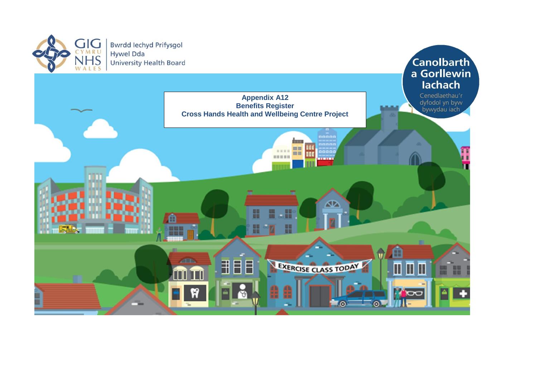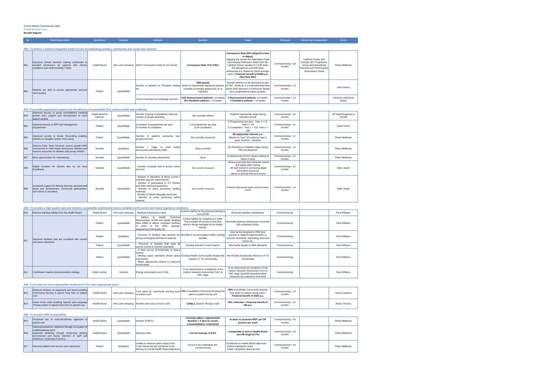# **Cross Hands Community Hub Outline Business Case**

| S02: To provide appropriate capacity for the delivery of sustainable 21st century health and wellbeing |  |  |
|--------------------------------------------------------------------------------------------------------|--|--|
|                                                                                                        |  |  |

| <b>B</b> 03 | Improved access to group consultations enabling<br>greater peer support and development of more<br>patient experts                                         | Health Board &<br><b>Patients</b> | Quantifiable | Number of group consultations held and<br>number of people attending                                                                                                                                                                                                                            | Not currently offered                                                                                                     | Establish appropriate target during<br>transition period                                                                                                                                 | Commissioning + 12<br>months | GP lead Penygroes &<br>Tumble |
|-------------|------------------------------------------------------------------------------------------------------------------------------------------------------------|-----------------------------------|--------------|-------------------------------------------------------------------------------------------------------------------------------------------------------------------------------------------------------------------------------------------------------------------------------------------------|---------------------------------------------------------------------------------------------------------------------------|------------------------------------------------------------------------------------------------------------------------------------------------------------------------------------------|------------------------------|-------------------------------|
| <b>B04</b>  | Improved access to EPP self management<br>programmes                                                                                                       | Patient                           | Quantifiable | 1) Number of programmes per year<br>2) Number of completers                                                                                                                                                                                                                                     | 1) 6 programmes per year<br>2) 54 completers                                                                              | 1) Programmes per year - Year $1 = 12$ ;<br>Year $2 = 18$<br>2) Completers - Year $1 = 120$ ; Year $2 =$<br>180                                                                          | Commissioning + 12<br>months | Claire Hurlin                 |
| <b>B</b> 05 | Improved access to Social Prescribing enabling<br>patients to navigate system more easily                                                                  | Patient                           | Quantifiable | of<br>patients<br>accessing sign<br>Number<br>posting services                                                                                                                                                                                                                                  | 98 signposted referrals p.a.<br>Not currently measured<br>(Based on Tywi Taf evidence base 2)<br>vears 2018/19 - 2019/20) |                                                                                                                                                                                          | Commissioning + 12<br>months | <b>Rhian Matthews</b>         |
| <b>B</b> 06 | Improve Early Years Services, ensure greater GMS<br>involvement in child health discussions (MASH) and<br>improve outcomes for families and young children | Societal                          | Qualitative  | / %age of child health<br>Number<br>discussions attended by GMS                                                                                                                                                                                                                                 | None currently                                                                                                            | GP Practices to establish target during<br>FBC development                                                                                                                               |                              | <b>Rhian Matthews</b>         |
| <b>B</b> 07 | More opportunities for volunteering                                                                                                                        | Societal                          | Quantifiable | Number of volunteer placements                                                                                                                                                                                                                                                                  | None                                                                                                                      | 13 placements (3 from Library relating to<br>Option 4 only)                                                                                                                              | Commissioning + 12<br>months | <b>Rhian Matthews</b>         |
| <b>B</b> 08 | Digital inclusion for citizens who do not have<br>broadband                                                                                                | Societal                          | Quantifiable | Number of people able to access online<br>services                                                                                                                                                                                                                                              | Not currently measured                                                                                                    | - Library to provide free computer access<br>and digital skills training<br>- All staff trained in accessing digital<br>information resources<br>- Library to provide free wi-fi access. | Commissioning + 12<br>months | Mark Jewell                   |
| <b>B</b> 09 | Increased support for lifelong learning, personal well-<br>being and development, community participation,<br>and culture & recreation                     | Societal                          | Quantifiable | Number of attendees at library events<br>activities (special requirements)<br>Number of participants in ICT literacy<br>and skills training programmes<br>Number of users accessing reading<br>materials<br>Number of Welsh language resources<br>Number of users accessing online<br>Imaterial | Not currently measured                                                                                                    | Establish appropriate target during transition<br>period                                                                                                                                 | Commissioning + 12<br>months | Mark Jewell                   |

### **S03: To provide a high-quality safe and modern, sustainable environment that is compliant with current and future regulatory standards**

| S01: To deliver a modern integrated model of care incorporating primary, community and social care services<br>Improved clinical decision making contributes to<br>avoided admissions for patients with chronic | <b>Health Board</b> |                    |                                                                            |                                                                      | Conveyance Rate 65% (Aligned to best<br>in Wales)                                                                                                                                                                                                                  |                              |                                                                                                                        |                              |
|-----------------------------------------------------------------------------------------------------------------------------------------------------------------------------------------------------------------|---------------------|--------------------|----------------------------------------------------------------------------|----------------------------------------------------------------------|--------------------------------------------------------------------------------------------------------------------------------------------------------------------------------------------------------------------------------------------------------------------|------------------------------|------------------------------------------------------------------------------------------------------------------------|------------------------------|
|                                                                                                                                                                                                                 |                     |                    |                                                                            |                                                                      |                                                                                                                                                                                                                                                                    |                              |                                                                                                                        |                              |
| conditions and multi morbidity / frailty                                                                                                                                                                        |                     | Non-cash releasing | WAST Conveyance Rate for AG Cluster                                        | Conveyance Rate 71% (TBC)                                            | Applying the current ED Attendance Rate<br>and Hospital Admission Rates from the<br>Lightfoot Viewer equates to 1,039 fewer<br>ED attendances and 429 fewer<br>admissions p.a. Based on 19/20 average<br>costs = Financial benefit of £596k p.a.<br>(See Note B01) | Commissioning + 18<br>months | Lightfoot Viewer and<br>through UEC Programme<br>Group and Operational<br>Planning and Performance<br>Governance Group | <b>Rhian Matthews</b>        |
| Patients are able to access appropriate services<br>more quickly                                                                                                                                                | Patient             | Quantifiable       | llist                                                                      | 3084 people<br>currently on therapy waiting lists as at<br>14/02/22) | Overall reduction to be assessed as part<br>of FBC. However, it is estimated that there<br>will be 50% reduction in Pulmonary Rehab<br>and Lymphoedema follow up waits.                                                                                            | Commissioning + 12<br>months |                                                                                                                        | John Davies                  |
|                                                                                                                                                                                                                 |                     |                    | 1420 Reassessment patients >14 weeks<br>301 Paediatric patients > 12 weeks |                                                                      | 0 Reassessment patients >14 weeks<br>0 Paediatric patients > 12 weeks                                                                                                                                                                                              | Commissioning + 12<br>months |                                                                                                                        | Caroline Lewis/Jane<br>Deans |
|                                                                                                                                                                                                                 |                     |                    |                                                                            | Time to treatment for Audiology services                             | Number of patients on Therapies waiting (Aman & Gwendraeth registered patients                                                                                                                                                                                     |                              |                                                                                                                        |                              |

| <b>B</b> 10 | Remove backlog liability from the Health Board                              | <b>Health Board</b> | Non cash releasing | - Backlog maintenance value                                                                                                                                                                 | Current Liability for the physical backlog is<br>circa £243k                                                                             | Eliminate backlog maintenance                                                                                                                             | Commissioning | Paul Williams |
|-------------|-----------------------------------------------------------------------------|---------------------|--------------------|---------------------------------------------------------------------------------------------------------------------------------------------------------------------------------------------|------------------------------------------------------------------------------------------------------------------------------------------|-----------------------------------------------------------------------------------------------------------------------------------------------------------|---------------|---------------|
|             |                                                                             | Patient             | Quantifiable       | Health<br>Technical<br>Adhere<br>to<br>Memorandum (HTM) and Health Building<br>Note (HBN) to deliver complaint facilities<br>areas of fire, DDA, signage,<br>engineering build quality etc; | Current liability for compliance is £39k.<br>This excludes lift access to first floor<br>which is being managed by the Helath<br>Board). | Eliminate backlog maintenance & provide<br>fully compliant facility.                                                                                      | Commissioning | Paul Williams |
| <b>B11</b>  | Improved facilities that are compliant with current<br>and future standards | Patient             | Qualitative        | privacy and dignity afforded to patients                                                                                                                                                    | Provision of facilities that optimise the Shortfall of accommodation within existing<br>facilities                                       | New facility designed to HBN best<br>practice to support improvements i.e.<br>acoustic standards, wayfinding, interview<br>roosm etc.                     | Commissioning | Paul Williams |
|             |                                                                             | Patient             | Quantifiable       | Provision of facilities that meet all<br>current control of infection standards                                                                                                             | <b>Existing Infection Control reports</b>                                                                                                | New facility design to HBN standards                                                                                                                      | Commissioning | Paul Williams |
|             |                                                                             | Patient             | Quantifiable       | 5 facet survey (Functionality & Space<br>review)<br>constraints)<br>Better adjacencies (linked to improved<br>functionailty)                                                                | Meeting space standards (fewer space Existing Health Centre facility Estatecode<br>category 'C' for functionality                        | New Facility Estatecode reference 'A' for<br>functionality                                                                                                | Commissioning | Paul Williams |
| <b>B12</b>  | Contributes towards decarbonisation strategy                                | Wider society       | Societal           | Energy consumption and CO2e                                                                                                                                                                 | To be determined on completion of the<br>Carbon Valuation Assessment form at<br>FBC stage                                                | To be determined on completion of the<br>Carbon Valuation Assessment form at<br>FBC stage (possible decarbonisation<br>measures are outlined in note B12) | Commissioning | Paul Williams |

### **S04: To provide the most appropriate healthcare in the most appropriate place**

| <b>B13</b> | lcare | Reduced reliance on paperwork and travel enabling<br>Community Nursing to spend more time on patient | <b>Health Board</b> | Non-cash releasing | on patient care                                    | Time spent by Community Nursing team 74% of available Community Nursing time<br>spent on patient facing care | 89% of available Commuinity Nursing<br>time spent on patient facing care $=$<br>Financial benefit of £50k p.a. | Commissioning + 12<br>months | Sarah Cameron |
|------------|-------|------------------------------------------------------------------------------------------------------|---------------------|--------------------|----------------------------------------------------|--------------------------------------------------------------------------------------------------------------|----------------------------------------------------------------------------------------------------------------|------------------------------|---------------|
| <b>B14</b> |       | Fewer home visits enabling Speech and Language<br>Therapy teams to spend more time on patient care   | <b>Health Board</b> |                    | Non-cash releasing Number and costs of home visits | 1208p.a. Speech Therapy visits                                                                               | 40% reduction = Financial benefit of<br>£8k p.a.                                                               | Commissioning + 12<br>months | Alison Thomas |

### **S05: To provide GMS sustainability**

| <b>B15</b> | Increased use of multi-disciplinary approach to<br>patient care                                                                                                                                                      | <b>Health Board</b> | Quantifiable | Number of MDTs                                                                                                                | Currently adhoc / opportunistic<br>Baseline = 0 (due to current<br>accommodation constraints) | At least x1 proactive MDT per GP<br>practice per week                                                      | Commissioning + 18<br>months | <b>Rhian Matthews</b> |
|------------|----------------------------------------------------------------------------------------------------------------------------------------------------------------------------------------------------------------------|---------------------|--------------|-------------------------------------------------------------------------------------------------------------------------------|-----------------------------------------------------------------------------------------------|------------------------------------------------------------------------------------------------------------|------------------------------|-----------------------|
| <b>B16</b> | Improved workforce resilience through co-location of<br>multidisciplinary team<br>Improved wellbeing through enhancing working<br>environment and hence retention of staff and<br>resilience / continuity of service | <b>Health Board</b> | Quantifiable | Sickness Rate                                                                                                                 | Current average of 8.6%                                                                       | <b>Comparable to best in Health Board</b><br>and HB target (4.7%)                                          | Commissioning + 18<br>months | <b>Rhian Matthews</b> |
| <b>B17</b> | Improved patient and service user experience                                                                                                                                                                         | Patient             | Qualitative  | Unable to measure direct impact from<br>Cross Hands but will contribute to the<br>delivery of overall Health Board objectives | Survey to be undertaken pre-<br>commissioning                                                 | Contribution to Health Board objectives<br>- Patient satisfaction rates<br>- Fewer complaints about access | Commissioning + 18<br>months | <b>Rhian Matthews</b> |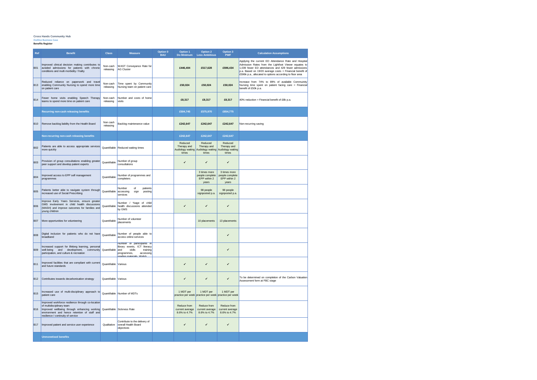#### **Cross Hands Community Hub**

**Outline Business Case Benefits Register**

| Ref        | <b>Benefit</b>                                                                                                                                                                                                                                  | <b>Class</b>          | <b>Measure</b>                                                                                                                       | Option 0<br><b>BAU</b> | Option 1<br>Do Minimum                         | Option 2<br><b>Less Ambitious</b>                                                        | Option 3<br><b>PWF</b>                                   | <b>Calculation Assumptions</b>                                                                                                                                                                                                                                                              |
|------------|-------------------------------------------------------------------------------------------------------------------------------------------------------------------------------------------------------------------------------------------------|-----------------------|--------------------------------------------------------------------------------------------------------------------------------------|------------------------|------------------------------------------------|------------------------------------------------------------------------------------------|----------------------------------------------------------|---------------------------------------------------------------------------------------------------------------------------------------------------------------------------------------------------------------------------------------------------------------------------------------------|
| <b>B01</b> | Improved clinical decision making contributes to<br>avoided admissions for patients with chronic<br>conditions and multi morbidity / frailty                                                                                                    | Non-cash<br>releasing | WAST Conveyance Rate for<br><b>AG Cluster</b>                                                                                        |                        | £446,404                                       | £517,628                                                                                 | £596,434                                                 | Applying the current ED Attendance Rate and Hospital<br>Admission Rates from the Lightfoot Viewer equates to<br>1,039 fewer ED attendances and 429 fewer admissions<br>p.a. Based on 19/20 average costs = Financial benefit of<br>£596k p.a., allocated to options according to floor area |
| <b>B13</b> | Reduced reliance on paperwork and travel<br>enabling Community Nursing to spend more time<br>on patient care                                                                                                                                    | Non-cash<br>releasing | Time spent by Community<br>Nursing team on patient care                                                                              |                        | £50,024                                        | £50,024                                                                                  | £50,024                                                  | Increase from 74% to 89% of available Commuinity<br>Nursing time spent on patient facing care = Financial<br>benefit of £50k p.a.                                                                                                                                                           |
| <b>B14</b> | Fewer home visits enabling Speech Therapy<br>teams to spend more time on patient care                                                                                                                                                           | Non-cash<br>releasing | Number and costs of home<br>visits                                                                                                   |                        | £8,317                                         | £8,317                                                                                   | £8,317                                                   | 40% reduction = Financial benefit of £8k p.a.                                                                                                                                                                                                                                               |
|            | Recurring non-cash releasing benefits                                                                                                                                                                                                           |                       |                                                                                                                                      |                        | £504,745                                       | £575,970                                                                                 | £654,775                                                 |                                                                                                                                                                                                                                                                                             |
| <b>B10</b> | Remove backlog liability from the Health Board                                                                                                                                                                                                  | Non cash<br>releasing | Backlog maintenance value                                                                                                            |                        | £242.647                                       | £242.647                                                                                 | £242,647                                                 | Non-recurring saving                                                                                                                                                                                                                                                                        |
|            | Non-recurring non-cash releasing benefits                                                                                                                                                                                                       |                       |                                                                                                                                      |                        | £242,647                                       | £242,647                                                                                 | £242,647                                                 |                                                                                                                                                                                                                                                                                             |
| <b>B02</b> | Patients are able to access appropriate services<br>more quickly                                                                                                                                                                                |                       | Quantifiable Reduced waiting times                                                                                                   |                        | Reduced<br>Therapy and<br>times                | Reduced<br>Therapy and<br>Audiology waiting Audiology waiting Audiology waiting<br>times | Reduced<br>Therapy and<br>times                          |                                                                                                                                                                                                                                                                                             |
| <b>B03</b> | Provision of group consultations enabling greater<br>peer support and develop patient experts                                                                                                                                                   | Quantifiable          | Number of group<br>consultations                                                                                                     |                        | ✓                                              | ✓                                                                                        | ✓                                                        |                                                                                                                                                                                                                                                                                             |
| <b>B04</b> | Improved access to EPP self management<br>programmes                                                                                                                                                                                            | Quantifiable          | Number of programmes and<br>completers                                                                                               |                        |                                                | 3 times more<br>people complete<br>EPP within 2<br>years                                 | 3 times more<br>people complete<br>EPP within 2<br>vears |                                                                                                                                                                                                                                                                                             |
| <b>B05</b> | Patients better able to navigate system through<br>increased use of Social Prescribing                                                                                                                                                          | Quantifiable          | Number<br>of<br>patients<br>accessing<br>sign<br>posting<br>services                                                                 |                        |                                                | 98 people<br>signposted p.a.                                                             | 98 people<br>signposted p.a.                             |                                                                                                                                                                                                                                                                                             |
| <b>B06</b> | Improve Early Years Services, ensure greater<br>GMS involvement in child health discussions<br>(MASH) and improve outcomes for families and<br>young children                                                                                   | Quantifiable          | Number / %age of child<br>health discussions attended<br>by GMS                                                                      |                        | ✔                                              | ✓                                                                                        | ✔                                                        |                                                                                                                                                                                                                                                                                             |
| <b>B07</b> | More opportunities for volunteering                                                                                                                                                                                                             | Quantifiable          | Number of volunteer<br>placements                                                                                                    |                        |                                                | 10 placements                                                                            | 13 placements                                            |                                                                                                                                                                                                                                                                                             |
| <b>B08</b> | Digital inclusion for patients who do not have<br>broadband                                                                                                                                                                                     | Quantifiable          | Number of people able to<br>access online services                                                                                   |                        |                                                |                                                                                          | ✔                                                        |                                                                                                                                                                                                                                                                                             |
| <b>B09</b> | Increased support for lifelong learning, personal<br>well-being and development, community<br>participation, and culture & recreation                                                                                                           | Quantifiable          | Number of participants in<br>library events, ICT literacy<br>skills<br>and<br>training<br>programmes,<br>accessing<br>atoriale Molek |                        |                                                |                                                                                          | ✓                                                        |                                                                                                                                                                                                                                                                                             |
| <b>B11</b> | Improved facilities that are compliant with current<br>and future standards                                                                                                                                                                     | Quantifiable Various  |                                                                                                                                      |                        | ✔                                              | ✓                                                                                        | ✔                                                        |                                                                                                                                                                                                                                                                                             |
| <b>B12</b> | Contributes towards decarbonisation strategy                                                                                                                                                                                                    | Quantifiable Various  |                                                                                                                                      |                        | ✔                                              | ✓                                                                                        | ✔                                                        | To be determined on completion of the Carbon Valuation<br>Assessment form at FBC stage                                                                                                                                                                                                      |
| <b>B15</b> | Increased use of multi-disciplinary approach to<br>patient care                                                                                                                                                                                 |                       | Quantifiable Number of MDTs                                                                                                          |                        | 1 MDT per                                      | 1 MDT per<br>practice per week practice per week practice per week                       | 1 MDT per                                                |                                                                                                                                                                                                                                                                                             |
| <b>B16</b> | Improved workforce resilience through co-location<br>of multidisciplinary team<br>Improved wellbeing through enhancing working Quantifiable Sickness Rate<br>environment and hence retention of staff and<br>resilience / continuity of service |                       |                                                                                                                                      |                        | Reduce from<br>current average<br>8.6% to 4.7% | Reduce from<br>current average<br>8.6% to 4.7%                                           | Reduce from<br>current average<br>8.6% to 4.7%           |                                                                                                                                                                                                                                                                                             |
| <b>B17</b> | Improved patient and service user experience                                                                                                                                                                                                    | Qualitative           | Contribute to the delivery of<br>overall Health Board<br>objectives                                                                  |                        | v                                              | √                                                                                        | ✓                                                        |                                                                                                                                                                                                                                                                                             |
|            | <b>Unmonetised benefits</b>                                                                                                                                                                                                                     |                       |                                                                                                                                      |                        |                                                |                                                                                          |                                                          |                                                                                                                                                                                                                                                                                             |